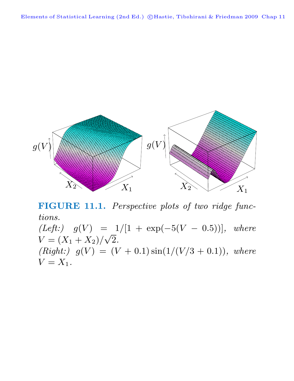Elements of Statistical Learning (2nd Ed.) ©Hastie, Tibshirani & Friedman 2009 Chap 11



**FIGURE 11.1.** Perspective plots of two ridge functions.

(Left:)  $g(V) = 1/[1 + \exp(-5(V - 0.5))]$ , where  $V = (X_1 + X_2)/\sqrt{2}.$ (Right:)  $g(V) = (V + 0.1) \sin(1/(V/3 + 0.1))$ , where  $V = X_1$ .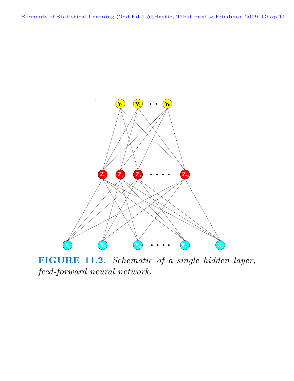

**FIGURE 11.2.** Schematic of a single hidden layer, feed-forward neural network.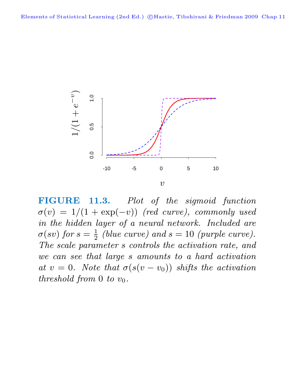

**FIGURE 11.3.** Plot of the sigmoid function  $\sigma(v)=1/(1 + \exp(-v))$  (red curve), commonly used in the hidden layer of a neural network. Included are  $\sigma(sv)$  for  $s=\frac{1}{2}$  (blue curve) and  $s=10$  (purple curve). The scale parameter s controls the activation rate, and we can see that large s amounts to a hard activation at  $v = 0$ . Note that  $\sigma(s(v - v_0))$  shifts the activation threshold from 0 to  $v_0$ .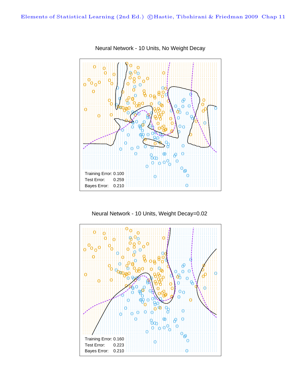

Neural Network - 10 Units, No Weight Decay

Neural Network - 10 Units, Weight Decay=0.02

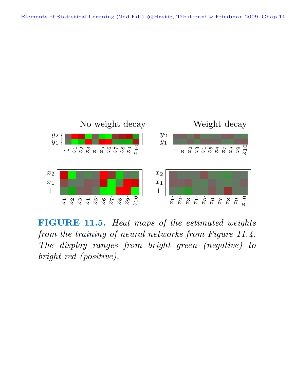Elements of Statistical Learning (2nd Ed.) ©Hastie, Tibshirani & Friedman 2009 Chap 11



**FIGURE 11.5.** Heat maps of the estimated weights from the training of neural networks from Figure 11.4. The display ranges from bright green (negative) to bright red (positive).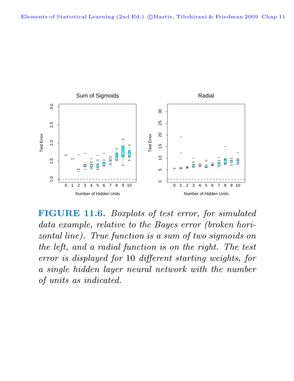

**FIGURE 11.6.** Boxplots of test error, for simulated data example, relative to the Bayes error (broken horizontal line). True function is a sum of two sigmoids on the left, and a radial function is on the right. The test error is displayed for 10 different starting weights, for a single hidden layer neural network with the number of units as indicated.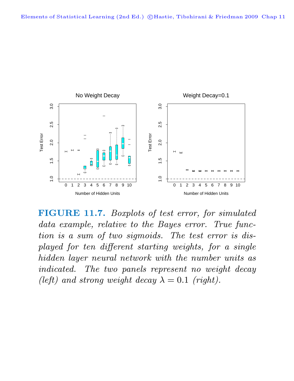

**FIGURE 11.7.** Boxplots of test error, for simulated data example, relative to the Bayes error. True function is a sum of two sigmoids. The test error is displayed for ten different starting weights, for a single hidden layer neural network with the number units as indicated. The two panels represent no weight decay (left) and strong weight decay  $\lambda = 0.1$  (right).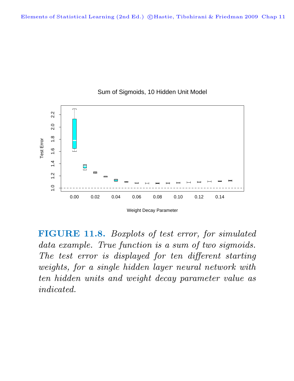

## Sum of Sigmoids, 10 Hidden Unit Model

Weight Decay Parameter

**FIGURE 11.8.** Boxplots of test error, for simulated data example. True function is a sum of two sigmoids. The test error is displayed for ten different starting weights, for a single hidden layer neural network with ten hidden units and weight decay parameter value as indicated.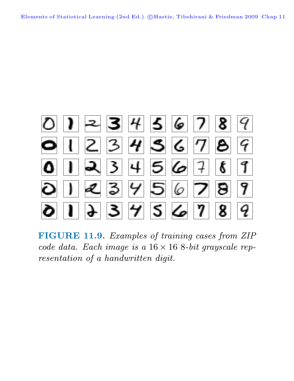

**FIGURE 11.9.** Examples of training cases from ZIP code data. Each image is a  $16 \times 16$  8-bit grayscale representation of a handwritten digit.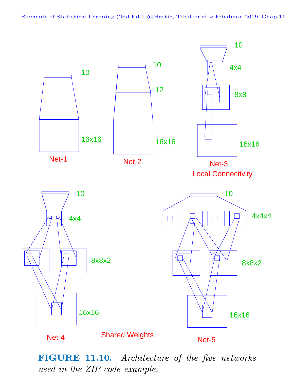Elements of Statistical Learning (2nd Ed.) ©Hastie, Tibshirani & Friedman 2009 Chap 11



**FIGURE 11.10.** Architecture of the five networks used in the ZIP code example.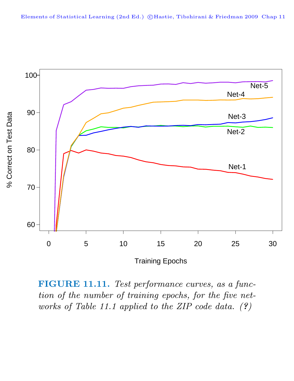

**FIGURE 11.11.** Test performance curves, as a function of the number of training epochs, for the five networks of Table 11.1 applied to the ZIP code data. (*?*)